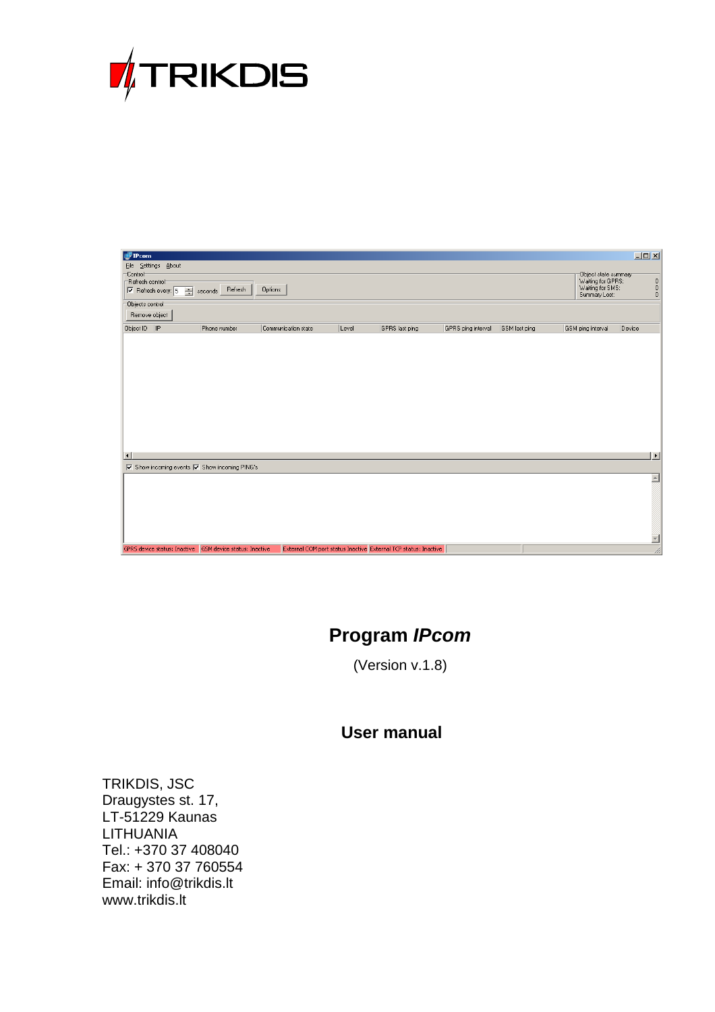

| <b>P</b> IPcom      |                                                             |                                                             |                     |       |                                                                 |                    |               |                                   | $\boxed{\mathbf{L}\mathbf{D}\mathbf{X}}$      |
|---------------------|-------------------------------------------------------------|-------------------------------------------------------------|---------------------|-------|-----------------------------------------------------------------|--------------------|---------------|-----------------------------------|-----------------------------------------------|
|                     | File Settings About                                         |                                                             |                     |       |                                                                 |                    |               |                                   |                                               |
| Control             |                                                             |                                                             |                     |       |                                                                 |                    |               | Dbject state summary              |                                               |
| Refresh control     |                                                             |                                                             |                     |       |                                                                 |                    |               | Waiting for GPRS:                 |                                               |
|                     | $\nabla$ Refresh every: $\boxed{5}$<br>$\frac{1}{\sqrt{2}}$ | Refresh<br>seconds                                          | Options             |       |                                                                 |                    |               | Waiting for SMS:<br>Summary Lost: | $\begin{smallmatrix}0\0\0\0\end{smallmatrix}$ |
| Objects control     |                                                             |                                                             |                     |       |                                                                 |                    |               |                                   |                                               |
| Remove object       |                                                             |                                                             |                     |       |                                                                 |                    |               |                                   |                                               |
| Object ID   IP      |                                                             | Phone number                                                | Communication state | Level | GPRS last ping                                                  | GPRS ping interval | GSM last ping | GSM ping interval                 | Device                                        |
|                     |                                                             |                                                             |                     |       |                                                                 |                    |               |                                   |                                               |
|                     |                                                             |                                                             |                     |       |                                                                 |                    |               |                                   |                                               |
|                     |                                                             |                                                             |                     |       |                                                                 |                    |               |                                   |                                               |
|                     |                                                             |                                                             |                     |       |                                                                 |                    |               |                                   |                                               |
|                     |                                                             |                                                             |                     |       |                                                                 |                    |               |                                   |                                               |
|                     |                                                             |                                                             |                     |       |                                                                 |                    |               |                                   |                                               |
|                     |                                                             |                                                             |                     |       |                                                                 |                    |               |                                   |                                               |
|                     |                                                             |                                                             |                     |       |                                                                 |                    |               |                                   |                                               |
|                     |                                                             |                                                             |                     |       |                                                                 |                    |               |                                   |                                               |
|                     |                                                             |                                                             |                     |       |                                                                 |                    |               |                                   |                                               |
|                     |                                                             |                                                             |                     |       |                                                                 |                    |               |                                   |                                               |
|                     |                                                             |                                                             |                     |       |                                                                 |                    |               |                                   |                                               |
| $\vert \cdot \vert$ |                                                             |                                                             |                     |       |                                                                 |                    |               |                                   | $\vert \cdot \vert$                           |
|                     |                                                             | <b>▽</b> Show incoming events <b>V</b> Show incoming PING's |                     |       |                                                                 |                    |               |                                   |                                               |
|                     |                                                             |                                                             |                     |       |                                                                 |                    |               |                                   | $\blacktriangle$                              |
|                     |                                                             |                                                             |                     |       |                                                                 |                    |               |                                   |                                               |
|                     |                                                             |                                                             |                     |       |                                                                 |                    |               |                                   |                                               |
|                     |                                                             |                                                             |                     |       |                                                                 |                    |               |                                   |                                               |
|                     |                                                             |                                                             |                     |       |                                                                 |                    |               |                                   |                                               |
|                     |                                                             |                                                             |                     |       |                                                                 |                    |               |                                   |                                               |
|                     |                                                             |                                                             |                     |       |                                                                 |                    |               |                                   |                                               |
|                     |                                                             | GPRS device status: Inactive GSM device status: Inactive    |                     |       | External COM port status Inactive External TCP status: Inactive |                    |               |                                   |                                               |

# **Program IPcom**

(Version v.1.8)

# **User manual**

TRIKDIS, JSC Draugystes st. 17, LT-51229 Kaunas LITHUANIA Tel.: +370 37 408040 Fax: + 370 37 760554 Email: info@trikdis.lt www.trikdis.lt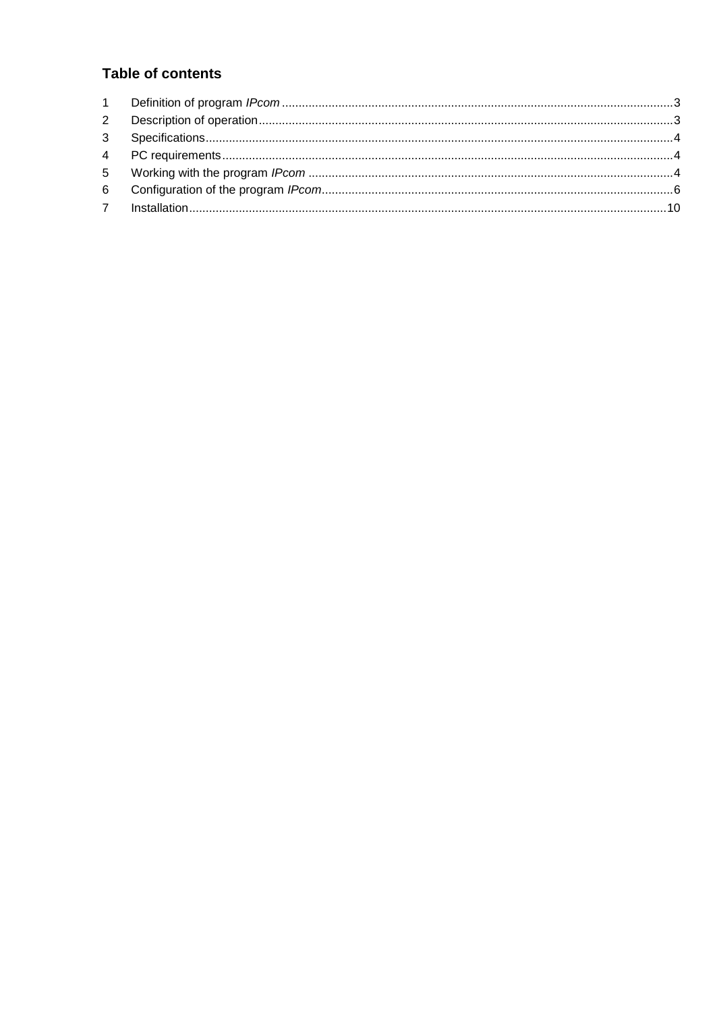## **Table of contents**

| $2^{\circ}$ |  |
|-------------|--|
|             |  |
|             |  |
|             |  |
|             |  |
|             |  |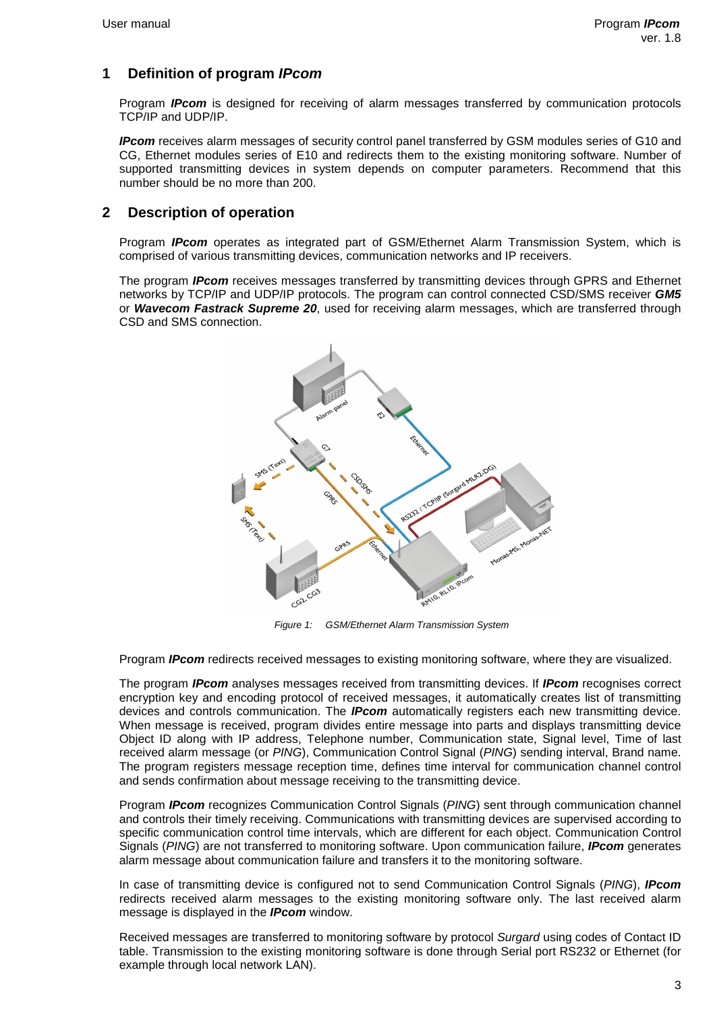## **1 Definition of program IPcom**

Program **IPcom** is designed for receiving of alarm messages transferred by communication protocols TCP/IP and UDP/IP.

**IPcom** receives alarm messages of security control panel transferred by GSM modules series of G10 and CG, Ethernet modules series of E10 and redirects them to the existing monitoring software. Number of supported transmitting devices in system depends on computer parameters. Recommend that this number should be no more than 200.

### **2 Description of operation**

Program **IPcom** operates as integrated part of GSM/Ethernet Alarm Transmission System, which is comprised of various transmitting devices, communication networks and IP receivers.

The program **IPcom** receives messages transferred by transmitting devices through GPRS and Ethernet networks by TCP/IP and UDP/IP protocols. The program can control connected CSD/SMS receiver **GM5**  or **Wavecom Fastrack Supreme 20**, used for receiving alarm messages, which are transferred through CSD and SMS connection.



Figure 1: GSM/Ethernet Alarm Transmission System

Program **IPcom** redirects received messages to existing monitoring software, where they are visualized.

The program **IPcom** analyses messages received from transmitting devices. If **IPcom** recognises correct encryption key and encoding protocol of received messages, it automatically creates list of transmitting devices and controls communication. The **IPcom** automatically registers each new transmitting device. When message is received, program divides entire message into parts and displays transmitting device Object ID along with IP address, Telephone number, Communication state, Signal level, Time of last received alarm message (or PING), Communication Control Signal (PING) sending interval, Brand name. The program registers message reception time, defines time interval for communication channel control and sends confirmation about message receiving to the transmitting device.

Program **IPcom** recognizes Communication Control Signals (PING) sent through communication channel and controls their timely receiving. Communications with transmitting devices are supervised according to specific communication control time intervals, which are different for each object. Communication Control Signals (PING) are not transferred to monitoring software. Upon communication failure, **IPcom** generates alarm message about communication failure and transfers it to the monitoring software.

In case of transmitting device is configured not to send Communication Control Signals (PING), **IPcom** redirects received alarm messages to the existing monitoring software only. The last received alarm message is displayed in the **IPcom** window.

Received messages are transferred to monitoring software by protocol Surgard using codes of Contact ID table. Transmission to the existing monitoring software is done through Serial port RS232 or Ethernet (for example through local network LAN).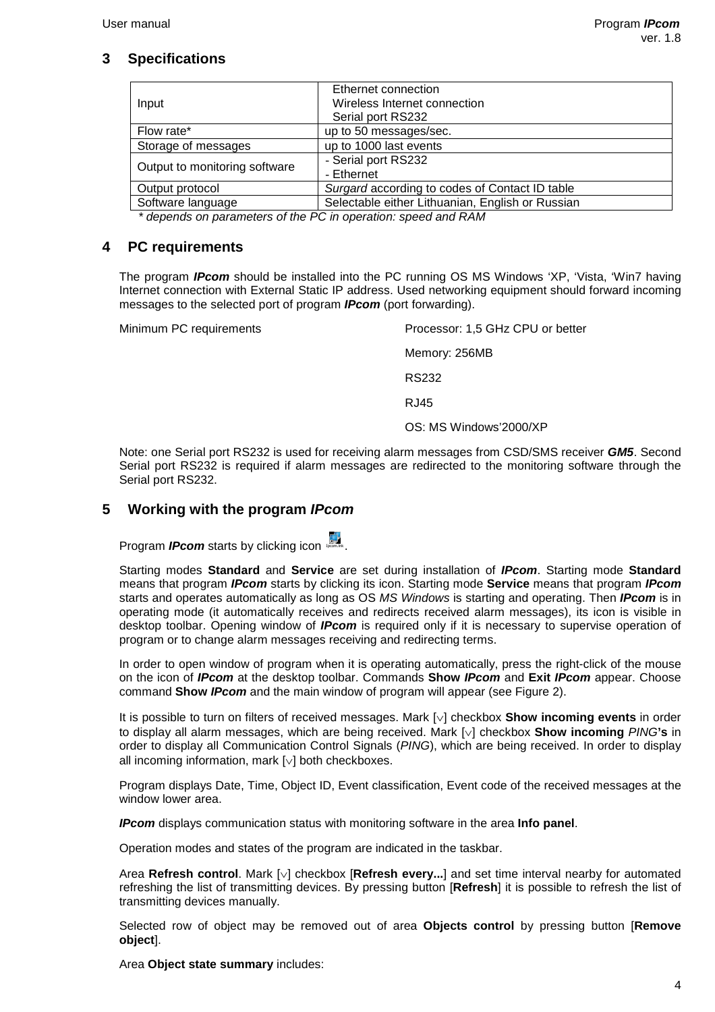## **3 Specifications**

|                               | Ethernet connection                              |  |  |
|-------------------------------|--------------------------------------------------|--|--|
| Input                         | Wireless Internet connection                     |  |  |
|                               | Serial port RS232                                |  |  |
| Flow rate*                    | up to 50 messages/sec.                           |  |  |
| Storage of messages           | up to 1000 last events                           |  |  |
|                               | - Serial port RS232                              |  |  |
| Output to monitoring software | - Ethernet                                       |  |  |
| Output protocol               | Surgard according to codes of Contact ID table   |  |  |
| Software language             | Selectable either Lithuanian, English or Russian |  |  |
|                               |                                                  |  |  |

\* depends on parameters of the PC in operation: speed and RAM

### **4 PC requirements**

The program **IPcom** should be installed into the PC running OS MS Windows 'XP, 'Vista, 'Win7 having Internet connection with External Static IP address. Used networking equipment should forward incoming messages to the selected port of program **IPcom** (port forwarding).

Minimum PC requirements Processor: 1,5 GHz CPU or better Memory: 256MB RS232 RJ45 OS: MS Windows'2000/XP

Note: one Serial port RS232 is used for receiving alarm messages from CSD/SMS receiver **GM5**. Second Serial port RS232 is required if alarm messages are redirected to the monitoring software through the Serial port RS232.

## **5 Working with the program IPcom**

Program *IPcom* starts by clicking icon **IPCOM**.

Starting modes **Standard** and **Service** are set during installation of **IPcom**. Starting mode **Standard** means that program **IPcom** starts by clicking its icon. Starting mode **Service** means that program **IPcom** starts and operates automatically as long as OS MS Windows is starting and operating. Then **IPcom** is in operating mode (it automatically receives and redirects received alarm messages), its icon is visible in desktop toolbar. Opening window of **IPcom** is required only if it is necessary to supervise operation of program or to change alarm messages receiving and redirecting terms.

In order to open window of program when it is operating automatically, press the right-click of the mouse on the icon of **IPcom** at the desktop toolbar. Commands **Show IPcom** and **Exit IPcom** appear. Choose command **Show IPcom** and the main window of program will appear (see Figure 2).

It is possible to turn on filters of received messages. Mark [∨] checkbox **Show incoming events** in order to display all alarm messages, which are being received. Mark [∨] checkbox **Show incoming** PING**'s** in order to display all Communication Control Signals (PING), which are being received. In order to display all incoming information, mark [∨] both checkboxes.

Program displays Date, Time, Object ID, Event classification, Event code of the received messages at the window lower area.

**IPcom** displays communication status with monitoring software in the area **Info panel**.

Operation modes and states of the program are indicated in the taskbar.

Area **Refresh control**. Mark [∨] checkbox [**Refresh every...**] and set time interval nearby for automated refreshing the list of transmitting devices. By pressing button [**Refresh**] it is possible to refresh the list of transmitting devices manually.

Selected row of object may be removed out of area **Objects control** by pressing button [**Remove object**].

Area **Object state summary** includes: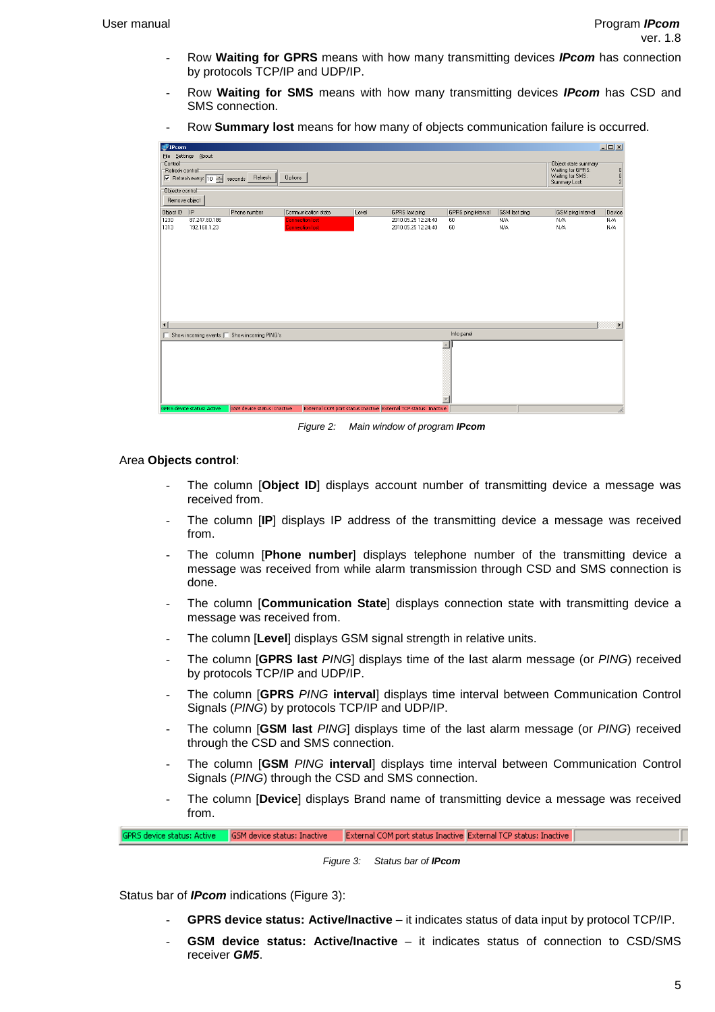- Row **Waiting for GPRS** means with how many transmitting devices **IPcom** has connection by protocols TCP/IP and UDP/IP.
- Row **Waiting for SMS** means with how many transmitting devices **IPcom** has CSD and SMS connection.
- Row **Summary lost** means for how many of objects communication failure is occurred.

| FIPcom                                                                                                                              | $\Box$                                                                         |                                 |
|-------------------------------------------------------------------------------------------------------------------------------------|--------------------------------------------------------------------------------|---------------------------------|
| File Settings About                                                                                                                 |                                                                                |                                 |
| Refresh control<br>Ⅳ Refresh every: 10 ÷ seconds Refresh<br>Options                                                                 | Object state summary<br>Waiting for GPRS:<br>Waiting for SMS:<br>Summary Lost: | $\bf{0}$<br>0<br>$\overline{c}$ |
| Objects control                                                                                                                     |                                                                                |                                 |
| Remove object                                                                                                                       |                                                                                |                                 |
| Object ID<br> IP<br>Phone number<br>Communication state<br>GPRS last ping<br>GPRS ping interval<br>GSM last ping<br>Level           | GSM ping interval                                                              | Device                          |
| 2010.05.25 12:24:40<br>87.247.80.186<br><b>Connection lost</b><br>N/A<br>60                                                         | N/A<br>N/A                                                                     |                                 |
| 192.168.1.23<br><b>Connection lost</b><br>2010.05.25 12:24:40<br>60<br>N/A                                                          | N/A<br>N/A                                                                     |                                 |
|                                                                                                                                     |                                                                                | $\blacktriangleright$           |
| Info panel<br>$\Box$ Show incoming events $\Box$ Show incoming PING's                                                               |                                                                                |                                 |
| $\triangle$                                                                                                                         |                                                                                |                                 |
| GPRS device status: Active<br><b>GSM</b> device status: Inactive<br>External COM port status Inactive External TCP status: Inactive |                                                                                | //.                             |

Figure 2: Main window of program **IPcom**

#### Area **Objects control**:

- The column **[Object ID**] displays account number of transmitting device a message was received from.
- The column [**IP**] displays IP address of the transmitting device a message was received from.
- The column [**Phone number**] displays telephone number of the transmitting device a message was received from while alarm transmission through CSD and SMS connection is done.
- The column [**Communication State**] displays connection state with transmitting device a message was received from.
- The column [**Level**] displays GSM signal strength in relative units.
- The column [**GPRS last** PING] displays time of the last alarm message (or PING) received by protocols TCP/IP and UDP/IP.
- The column [**GPRS** PING **interval**] displays time interval between Communication Control Signals (PING) by protocols TCP/IP and UDP/IP.
- The column [GSM last PING] displays time of the last alarm message (or PING) received through the CSD and SMS connection.
- The column [**GSM** PING **interval**] displays time interval between Communication Control Signals (PING) through the CSD and SMS connection.
- The column [**Device**] displays Brand name of transmitting device a message was received from.

PRS device status: Active GSM device status: Inactive External COM port status Inactive External TCP status: Inactive

Figure 3: Status bar of **IPcom**

Status bar of **IPcom** indications (Figure 3):

- **GPRS device status: Active/Inactive** it indicates status of data input by protocol TCP/IP.
- **GSM device status: Active/Inactive**  it indicates status of connection to CSD/SMS receiver **GM5**.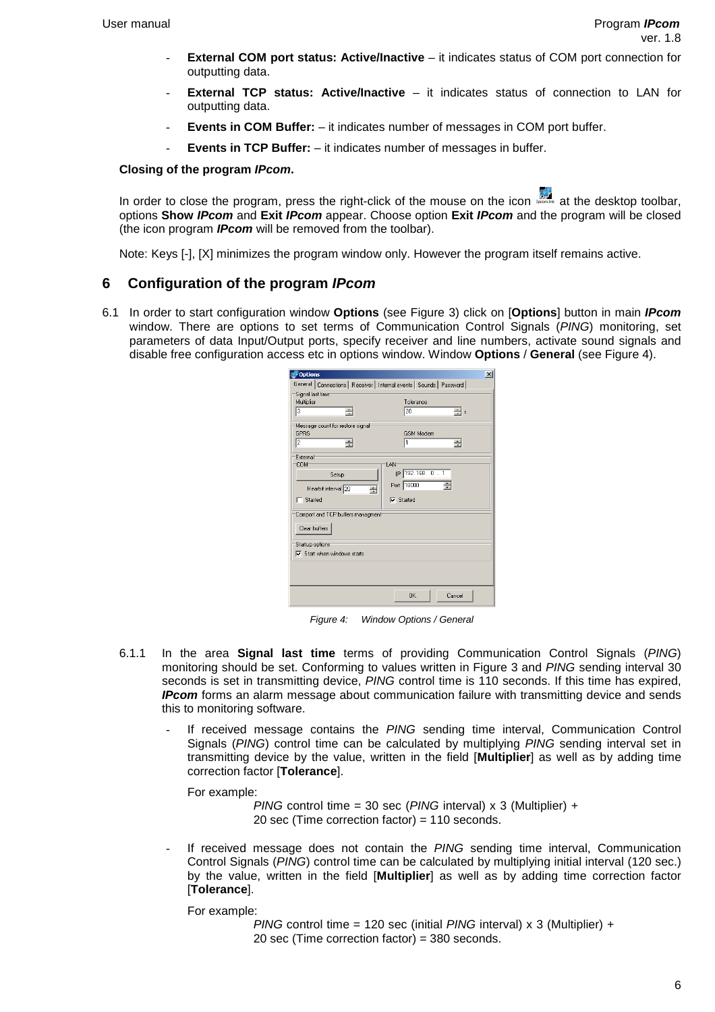- **External COM port status: Active/Inactive** it indicates status of COM port connection for outputting data.
- **External TCP status: Active/Inactive –** it indicates status of connection to LAN for outputting data.
- **Events in COM Buffer:**  $-$  it indicates number of messages in COM port buffer.
- **Events in TCP Buffer:** it indicates number of messages in buffer.

#### **Closing of the program IPcom.**

In order to close the program, press the right-click of the mouse on the icon IPC at the desktop toolbar, options **Show IPcom** and **Exit IPcom** appear. Choose option **Exit IPcom** and the program will be closed (the icon program **IPcom** will be removed from the toolbar).

Note: Keys [-], [X] minimizes the program window only. However the program itself remains active.

### **6 Configuration of the program IPcom**

6.1 In order to start configuration window **Options** (see Figure 3) click on [**Options**] button in main **IPcom** window. There are options to set terms of Communication Control Signals (PING) monitoring, set parameters of data Input/Output ports, specify receiver and line numbers, activate sound signals and disable free configuration access etc in options window. Window **Options** / **General** (see Figure 4).

| <b>Options</b>                                                         | $\mathbf{x}$        |
|------------------------------------------------------------------------|---------------------|
| General   Connections   Receiver   Internal events   Sounds   Password |                     |
| Signal last time                                                       |                     |
| Multiplier<br>3                                                        | Tolerance<br>20     |
| ÷                                                                      | ÷ls                 |
| Message count for restore signal<br>GPBS                               | <b>GSM Modem</b>    |
| 12<br>÷                                                                | I1<br>÷             |
|                                                                        |                     |
| External<br><b>COM</b>                                                 | LAN                 |
| Setup                                                                  | IP 192.168. 0 . 1   |
|                                                                        | Port 18000          |
| Hearbit interval 20<br>÷                                               |                     |
| Started                                                                | $\nabla$ Started    |
| Comport and TCP buffers managment                                      |                     |
| Clear buffers                                                          |                     |
|                                                                        |                     |
| Startup options:<br>$\nabla$ Start when windows starts                 |                     |
|                                                                        |                     |
|                                                                        |                     |
|                                                                        |                     |
|                                                                        | Cancel<br><b>OK</b> |
|                                                                        |                     |

Figure 4: Window Options / General

- 6.1.1 In the area **Signal last time** terms of providing Communication Control Signals (PING) monitoring should be set. Conforming to values written in Figure 3 and PING sending interval 30 seconds is set in transmitting device. PING control time is 110 seconds. If this time has expired, **IPcom** forms an alarm message about communication failure with transmitting device and sends this to monitoring software.
	- If received message contains the PING sending time interval, Communication Control Signals (PING) control time can be calculated by multiplying PING sending interval set in transmitting device by the value, written in the field [**Multiplier**] as well as by adding time correction factor [**Tolerance**].

For example:

PING control time = 30 sec (PING interval)  $x$  3 (Multiplier) + 20 sec (Time correction factor) = 110 seconds.

If received message does not contain the PING sending time interval, Communication Control Signals (PING) control time can be calculated by multiplying initial interval (120 sec.) by the value, written in the field [**Multiplier**] as well as by adding time correction factor [**Tolerance**].

For example:

PING control time = 120 sec (initial PING interval)  $x$  3 (Multiplier) + 20 sec (Time correction factor) = 380 seconds.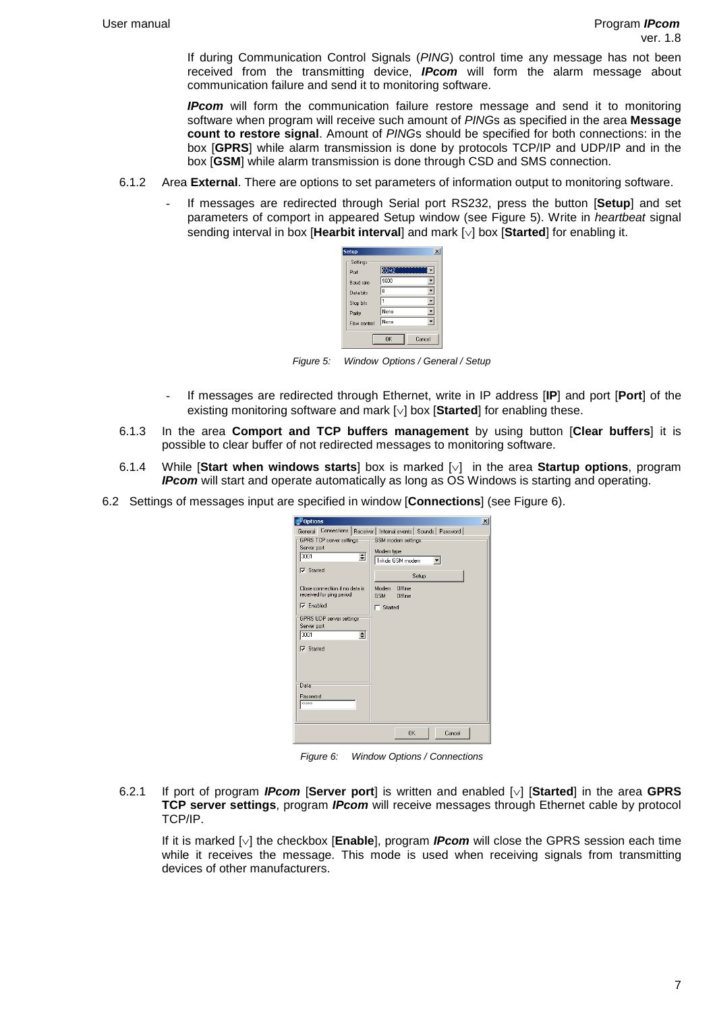If during Communication Control Signals (PING) control time any message has not been received from the transmitting device, **IPcom** will form the alarm message about communication failure and send it to monitoring software.

**IPcom** will form the communication failure restore message and send it to monitoring software when program will receive such amount of PINGs as specified in the area **Message count to restore signal**. Amount of PINGs should be specified for both connections: in the box [**GPRS**] while alarm transmission is done by protocols TCP/IP and UDP/IP and in the box [**GSM**] while alarm transmission is done through CSD and SMS connection.

- 6.1.2 Area **External**. There are options to set parameters of information output to monitoring software.
	- If messages are redirected through Serial port RS232, press the button [**Setup**] and set parameters of comport in appeared Setup window (see Figure 5). Write in heartbeat signal sending interval in box [**Hearbit interval**] and mark [∨] box [**Started**] for enabling it.



Figure 5: Window Options / General / Setup

- If messages are redirected through Ethernet, write in IP address [**IP**] and port [**Port**] of the existing monitoring software and mark [∨] box [**Started**] for enabling these.
- 6.1.3 In the area **Comport and TCP buffers management** by using button [**Clear buffers**] it is possible to clear buffer of not redirected messages to monitoring software.
- 6.1.4 While [**Start when windows starts**] box is marked [∨] in the area **Startup options**, program **IPcom** will start and operate automatically as long as OS Windows is starting and operating.
- 6.2 Settings of messages input are specified in window [**Connections**] (see Figure 6).

| <b>D</b> ptions                                            | $\mathbf{x}$                                                         |
|------------------------------------------------------------|----------------------------------------------------------------------|
|                                                            | General Connections   Receiver   Internal events   Sounds   Password |
| <b>GPRS TCP server settings</b>                            | GSM modem settings                                                   |
| Server port<br>$\div$<br>3001                              | Modem type                                                           |
|                                                            | Trikdis GSM modem                                                    |
| $\nabla$ Started                                           | Setup                                                                |
| Close connection if no data is<br>received for ping period | Offline<br>Modem<br><b>GSM</b><br>Offline                            |
| $\nabla$ Enabled                                           | $\Box$ Started                                                       |
| GPRS UDP server settings                                   |                                                                      |
| Server port<br>3001                                        |                                                                      |
| $\div$                                                     |                                                                      |
| $\nabla$ Started                                           |                                                                      |
|                                                            |                                                                      |
|                                                            |                                                                      |
| Data                                                       |                                                                      |
| Password                                                   |                                                                      |
| <b><i><u>EKKKKK</u></i></b>                                |                                                                      |
|                                                            |                                                                      |
|                                                            |                                                                      |
|                                                            | <b>OK</b><br>Cancel                                                  |

Figure 6: Window Options / Connections

6.2.1 If port of program **IPcom** [**Server port**] is written and enabled [∨] [**Started**] in the area **GPRS TCP server settings**, program **IPcom** will receive messages through Ethernet cable by protocol TCP/IP.

If it is marked [∨] the checkbox [**Enable**], program **IPcom** will close the GPRS session each time while it receives the message. This mode is used when receiving signals from transmitting devices of other manufacturers.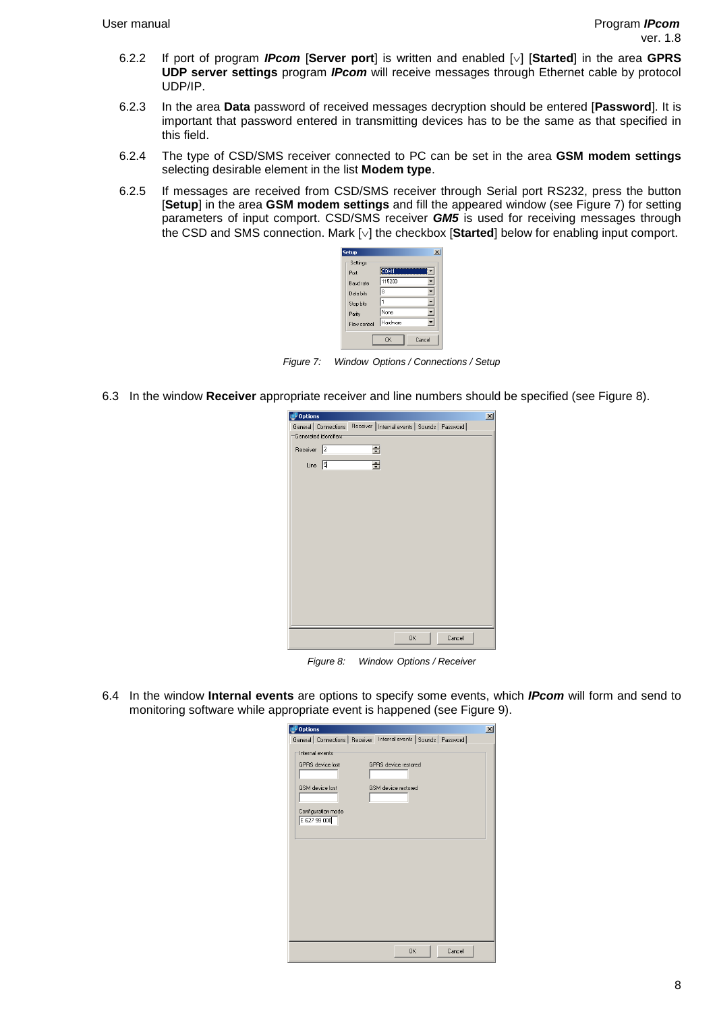- 6.2.2 If port of program **IPcom** [**Server port**] is written and enabled [∨] [**Started**] in the area **GPRS UDP server settings** program **IPcom** will receive messages through Ethernet cable by protocol UDP/IP.
- 6.2.3 In the area **Data** password of received messages decryption should be entered [**Password**]. It is important that password entered in transmitting devices has to be the same as that specified in this field.
- 6.2.4 The type of CSD/SMS receiver connected to PC can be set in the area **GSM modem settings** selecting desirable element in the list **Modem type**.
- 6.2.5 If messages are received from CSD/SMS receiver through Serial port RS232, press the button [**Setup**] in the area **GSM modem settings** and fill the appeared window (see Figure 7) for setting parameters of input comport. CSD/SMS receiver **GM5** is used for receiving messages through the CSD and SMS connection. Mark [∨] the checkbox [**Started**] below for enabling input comport.



Figure 7: Window Options / Connections / Setup

6.3 In the window **Receiver** appropriate receiver and line numbers should be specified (see Figure 8).

| $\n  1$ Options     |                       |              |                                                                        |        | $\vert x \vert$ |
|---------------------|-----------------------|--------------|------------------------------------------------------------------------|--------|-----------------|
|                     |                       |              | General   Connections   Receiver   Internal events   Sounds   Password |        |                 |
|                     | Generated identifiers |              |                                                                        |        |                 |
| Receiver $\sqrt{2}$ |                       | 급            |                                                                        |        |                 |
| Line $ 5 $          |                       | $\triangleq$ |                                                                        |        |                 |
|                     |                       |              |                                                                        |        |                 |
|                     |                       |              |                                                                        |        |                 |
|                     |                       |              |                                                                        |        |                 |
|                     |                       |              |                                                                        |        |                 |
|                     |                       |              |                                                                        |        |                 |
|                     |                       |              |                                                                        |        |                 |
|                     |                       |              |                                                                        |        |                 |
|                     |                       |              |                                                                        |        |                 |
|                     |                       |              |                                                                        |        |                 |
|                     |                       |              |                                                                        |        |                 |
|                     |                       |              |                                                                        |        |                 |
|                     |                       |              | 0K                                                                     | Cancel |                 |
|                     |                       |              |                                                                        |        |                 |

Figure 8: Window Options / Receiver

6.4 In the window **Internal events** are options to specify some events, which **IPcom** will form and send to monitoring software while appropriate event is happened (see Figure 9).

| <b>Options</b> |                                                                                                            |                                                                      |        | $\mathbf{x}$ |
|----------------|------------------------------------------------------------------------------------------------------------|----------------------------------------------------------------------|--------|--------------|
|                |                                                                                                            | General   Connections   Receiver Internal events   Sounds   Password |        |              |
|                | Internal events<br><b>GPRS</b> device lost<br><b>GSM</b> device lost<br>Configuration mode<br>E 627 99 000 | GPBS device restored<br>GSM device restored                          |        |              |
|                |                                                                                                            | OK.                                                                  | Cancel |              |
|                |                                                                                                            |                                                                      |        |              |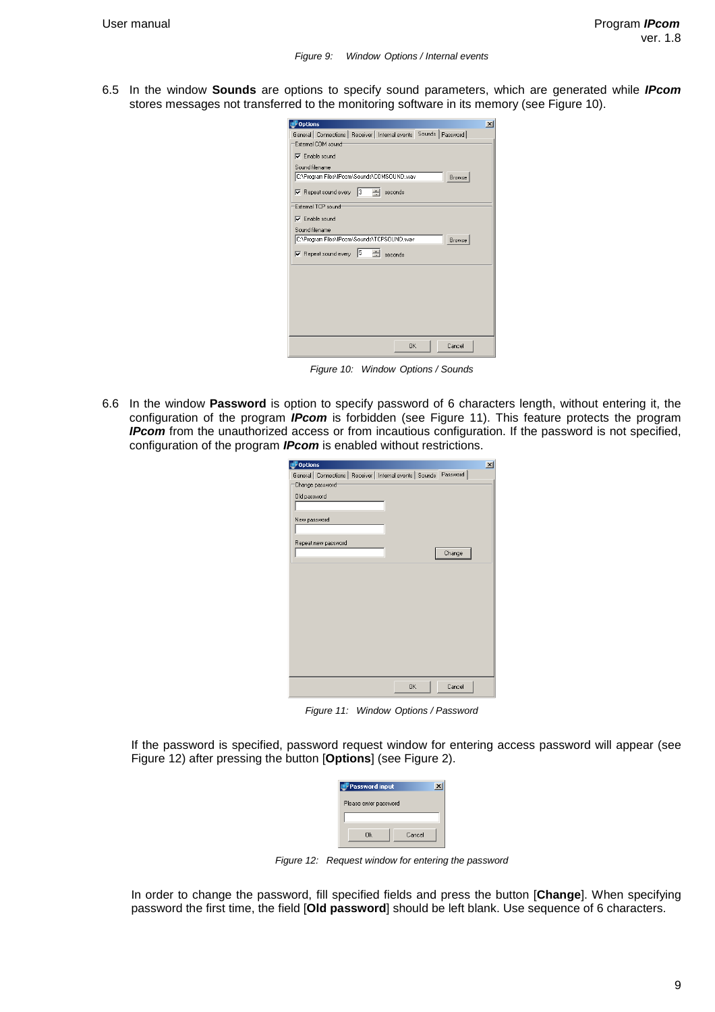6.5 In the window **Sounds** are options to specify sound parameters, which are generated while **IPcom** stores messages not transferred to the monitoring software in its memory (see Figure 10).

| <b>Options</b>                                                         | × |
|------------------------------------------------------------------------|---|
| General   Connections   Receiver   Internal events   Sounds   Password |   |
| External COM sound                                                     |   |
| $\nabla$ Enable sound                                                  |   |
| Sound filename                                                         |   |
| C:\Program Files\IPcom\Sounds\COMSOUND.wav<br>Browse                   |   |
| 3 - 즉  <br>$\nabla$ Repeat sound every<br>seconds                      |   |
| External TCP sound                                                     |   |
| $\nabla$ Enable sound                                                  |   |
| Sound filename                                                         |   |
| C:\Program Files\IPcom\Sounds\TCPSOUND.wav<br>Browse                   |   |
| $\triangleright$ Repeat sound every $\vert 5 \vert$ $\div$ seconds     |   |
|                                                                        |   |
|                                                                        |   |
|                                                                        |   |
|                                                                        |   |
|                                                                        |   |
|                                                                        |   |
|                                                                        |   |
| OK<br>Cancel                                                           |   |

Figure 10: Window Options / Sounds

6.6 In the window **Password** is option to specify password of 6 characters length, without entering it, the configuration of the program **IPcom** is forbidden (see Figure 11). This feature protects the program **IPcom** from the unauthorized access or from incautious configuration. If the password is not specified, configuration of the program **IPcom** is enabled without restrictions.

| <b>Options</b>                                                         | $\boldsymbol{\mathsf{x}}$ |
|------------------------------------------------------------------------|---------------------------|
| General   Connections   Receiver   Internal events   Sounds   Password |                           |
| Change password                                                        |                           |
| Old password                                                           |                           |
|                                                                        |                           |
| New password                                                           |                           |
|                                                                        |                           |
| Repeat new password                                                    |                           |
| Change                                                                 |                           |
|                                                                        |                           |
|                                                                        |                           |
|                                                                        |                           |
|                                                                        |                           |
|                                                                        |                           |
|                                                                        |                           |
|                                                                        |                           |
|                                                                        |                           |
|                                                                        |                           |
|                                                                        |                           |
| OK.<br>Cancel                                                          |                           |
|                                                                        |                           |

Figure 11: Window Options / Password

If the password is specified, password request window for entering access password will appear (see Figure 12) after pressing the button [**Options**] (see Figure 2).

| Password input        |        |  |
|-----------------------|--------|--|
| Please enter password |        |  |
|                       |        |  |
| Πk                    | Cancel |  |

Figure 12: Request window for entering the password

In order to change the password, fill specified fields and press the button [**Change**]. When specifying password the first time, the field [**Old password**] should be left blank. Use sequence of 6 characters.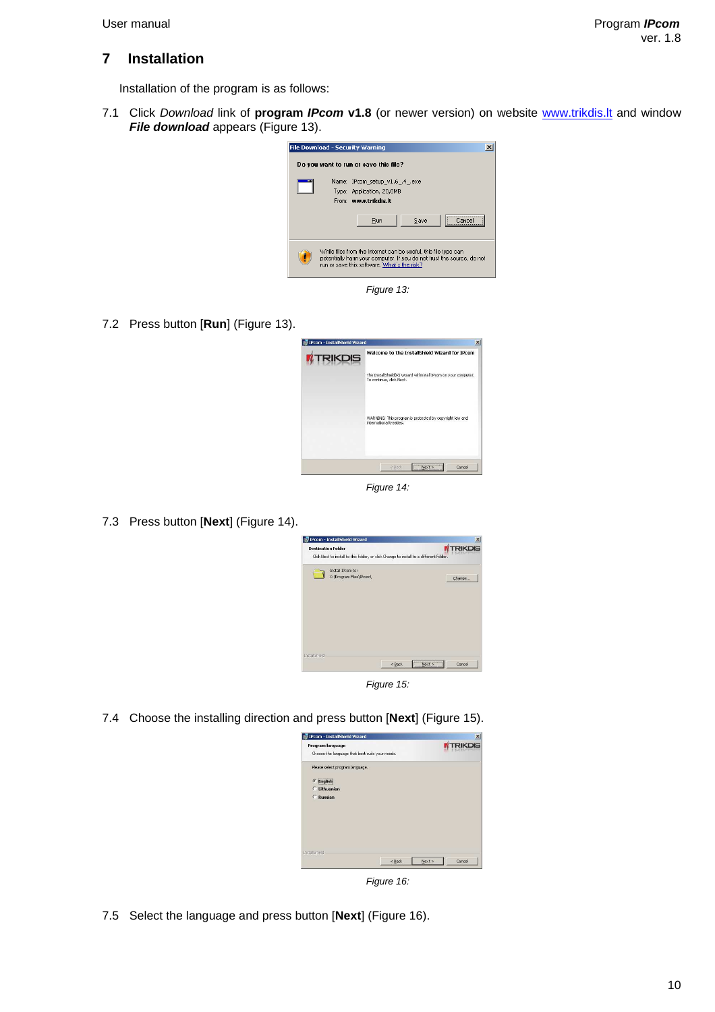## **7 Installation**

Installation of the program is as follows:

7.1 Click Download link of **program IPcom v1.8** (or newer version) on website www.trikdis.lt and window **File download** appears (Figure 13).



Figure 13:

7.2 Press button [**Run**] (Figure 13).



Figure 14:

7.3 Press button [**Next**] (Figure 14).



Figure 15:

7.4 Choose the installing direction and press button [**Next**] (Figure 15).

| <b>IPcom - InstallShield Wizard</b>                                 |                                                        |                | $\mathbf{x}$ |
|---------------------------------------------------------------------|--------------------------------------------------------|----------------|--------------|
| Program language<br>Choose the language that best suits your needs. |                                                        | <b>TRIKDIS</b> |              |
| Please select program language.                                     |                                                        |                |              |
| <b>Fnglish</b>                                                      |                                                        |                |              |
| <b>C</b> Lithuanian                                                 |                                                        |                |              |
| C Russian                                                           |                                                        |                |              |
|                                                                     |                                                        |                |              |
|                                                                     |                                                        |                |              |
|                                                                     |                                                        |                |              |
|                                                                     |                                                        |                |              |
|                                                                     |                                                        |                |              |
| Installatield                                                       |                                                        |                |              |
|                                                                     | <back< td=""><td>Next &gt;</td><td>Cancel</td></back<> | Next >         | Cancel       |

Figure 16:

7.5 Select the language and press button [**Next**] (Figure 16).